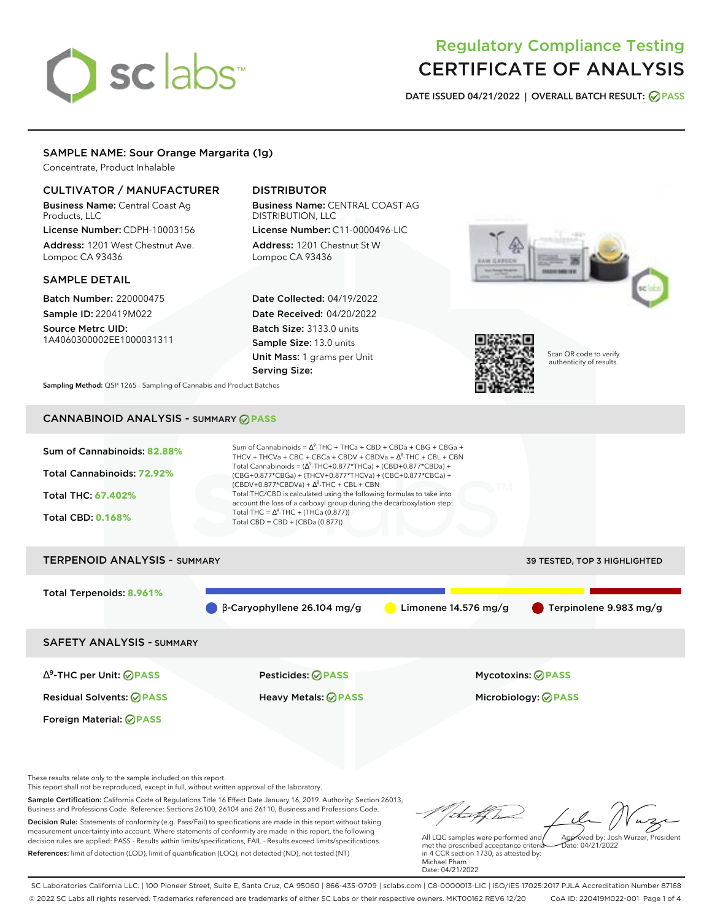# sclabs<sup>\*</sup>

# Regulatory Compliance Testing CERTIFICATE OF ANALYSIS

**DATE ISSUED 04/21/2022 | OVERALL BATCH RESULT: PASS**

# SAMPLE NAME: Sour Orange Margarita (1g)

Concentrate, Product Inhalable

# CULTIVATOR / MANUFACTURER

Business Name: Central Coast Ag Products, LLC

License Number: CDPH-10003156 Address: 1201 West Chestnut Ave. Lompoc CA 93436

# SAMPLE DETAIL

Batch Number: 220000475 Sample ID: 220419M022

Source Metrc UID: 1A4060300002EE1000031311

# DISTRIBUTOR

Business Name: CENTRAL COAST AG DISTRIBUTION, LLC

License Number: C11-0000496-LIC Address: 1201 Chestnut St W Lompoc CA 93436

Date Collected: 04/19/2022 Date Received: 04/20/2022 Batch Size: 3133.0 units Sample Size: 13.0 units Unit Mass: 1 grams per Unit Serving Size:





Scan QR code to verify authenticity of results.

**Sampling Method:** QSP 1265 - Sampling of Cannabis and Product Batches

# CANNABINOID ANALYSIS - SUMMARY **PASS**



These results relate only to the sample included on this report.

Foreign Material: **PASS**

This report shall not be reproduced, except in full, without written approval of the laboratory.

Sample Certification: California Code of Regulations Title 16 Effect Date January 16, 2019. Authority: Section 26013, Business and Professions Code. Reference: Sections 26100, 26104 and 26110, Business and Professions Code. Decision Rule: Statements of conformity (e.g. Pass/Fail) to specifications are made in this report without taking measurement uncertainty into account. Where statements of conformity are made in this report, the following decision rules are applied: PASS - Results within limits/specifications, FAIL - Results exceed limits/specifications.

References: limit of detection (LOD), limit of quantification (LOQ), not detected (ND), not tested (NT)

Approved by: Josh Wurzer, President

 $hat: 04/21/2022$ 

All LQC samples were performed and met the prescribed acceptance criteria in 4 CCR section 1730, as attested by: Michael Pham Date: 04/21/2022

SC Laboratories California LLC. | 100 Pioneer Street, Suite E, Santa Cruz, CA 95060 | 866-435-0709 | sclabs.com | C8-0000013-LIC | ISO/IES 17025:2017 PJLA Accreditation Number 87168 © 2022 SC Labs all rights reserved. Trademarks referenced are trademarks of either SC Labs or their respective owners. MKT00162 REV6 12/20 CoA ID: 220419M022-001 Page 1 of 4